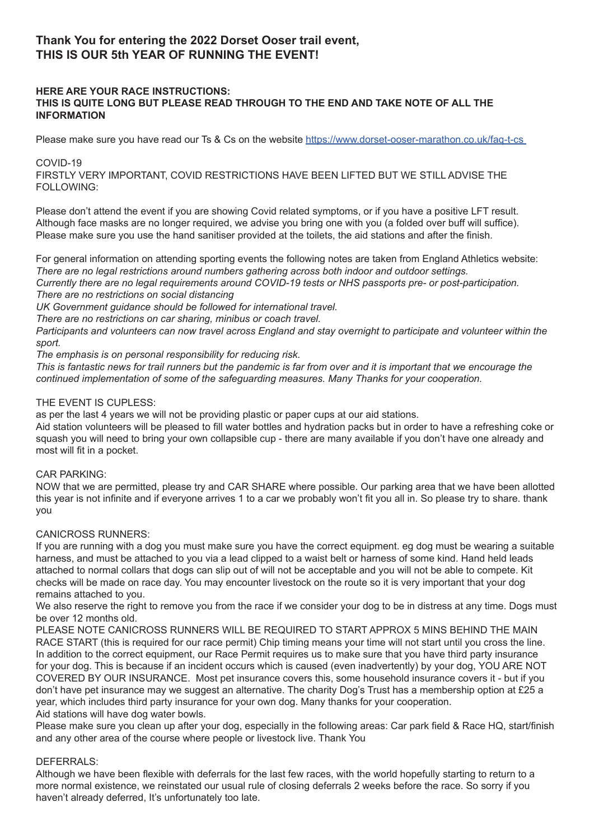# **Thank You for entering the 2022 Dorset Ooser trail event, THIS IS OUR 5th YEAR OF RUNNING THE EVENT!**

# **HERE ARE YOUR RACE INSTRUCTIONS: THIS IS QUITE LONG BUT PLEASE READ THROUGH TO THE END AND TAKE NOTE OF ALL THE INFORMATION**

Please make sure you have read our Ts & Cs on the website https://www.dorset-ooser-marathon.co.uk/faq-t-cs

# COVID-19

FIRSTLY VERY IMPORTANT, COVID RESTRICTIONS HAVE BEEN LIFTED BUT WE STILL ADVISE THE FOLLOWING:

Please don't attend the event if you are showing Covid related symptoms, or if you have a positive LFT result. Although face masks are no longer required, we advise you bring one with you (a folded over buff will suffice). Please make sure you use the hand sanitiser provided at the toilets, the aid stations and after the finish.

For general information on attending sporting events the following notes are taken from England Athletics website: *There are no legal restrictions around numbers gathering across both indoor and outdoor settings.* 

*Currently there are no legal requirements around COVID-19 tests or NHS passports pre- or post-participation. There are no restrictions on social distancing*

*UK Government guidance should be followed for international travel.*

*There are no restrictions on car sharing, minibus or coach travel.*

*Participants and volunteers can now travel across England and stay overnight to participate and volunteer within the sport.* 

*The emphasis is on personal responsibility for reducing risk.* 

*This is fantastic news for trail runners but the pandemic is far from over and it is important that we encourage the continued implementation of some of the safeguarding measures. Many Thanks for your cooperation.*

#### THE EVENT IS CUPLESS:

as per the last 4 years we will not be providing plastic or paper cups at our aid stations.

Aid station volunteers will be pleased to fill water bottles and hydration packs but in order to have a refreshing coke or squash you will need to bring your own collapsible cup - there are many available if you don't have one already and most will fit in a pocket.

# CAR PARKING:

NOW that we are permitted, please try and CAR SHARE where possible. Our parking area that we have been allotted this year is not infinite and if everyone arrives 1 to a car we probably won't fit you all in. So please try to share. thank you

# CANICROSS RUNNERS:

If you are running with a dog you must make sure you have the correct equipment. eg dog must be wearing a suitable harness, and must be attached to you via a lead clipped to a waist belt or harness of some kind. Hand held leads attached to normal collars that dogs can slip out of will not be acceptable and you will not be able to compete. Kit checks will be made on race day. You may encounter livestock on the route so it is very important that your dog remains attached to you.

We also reserve the right to remove you from the race if we consider your dog to be in distress at any time. Dogs must be over 12 months old.

PLEASE NOTE CANICROSS RUNNERS WILL BE REQUIRED TO START APPROX 5 MINS BEHIND THE MAIN RACE START (this is required for our race permit) Chip timing means your time will not start until you cross the line. In addition to the correct equipment, our Race Permit requires us to make sure that you have third party insurance for your dog. This is because if an incident occurs which is caused (even inadvertently) by your dog, YOU ARE NOT COVERED BY OUR INSURANCE. Most pet insurance covers this, some household insurance covers it - but if you don't have pet insurance may we suggest an alternative. The charity Dog's Trust has a membership option at £25 a year, which includes third party insurance for your own dog. Many thanks for your cooperation. Aid stations will have dog water bowls.

Please make sure you clean up after your dog, especially in the following areas: Car park field & Race HQ, start/finish and any other area of the course where people or livestock live. Thank You

# DEFERRALS:

Although we have been flexible with deferrals for the last few races, with the world hopefully starting to return to a more normal existence, we reinstated our usual rule of closing deferrals 2 weeks before the race. So sorry if you haven't already deferred, It's unfortunately too late.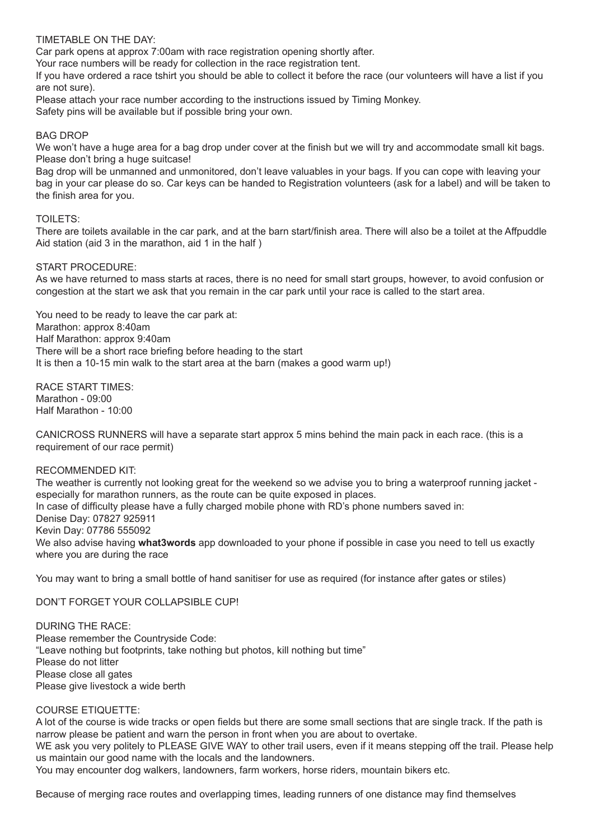# TIMETABLE ON THE DAY:

Car park opens at approx 7:00am with race registration opening shortly after.

Your race numbers will be ready for collection in the race registration tent.

If you have ordered a race tshirt you should be able to collect it before the race (our volunteers will have a list if you are not sure).

Please attach your race number according to the instructions issued by Timing Monkey. Safety pins will be available but if possible bring your own.

# BAG DROP

We won't have a huge area for a bag drop under cover at the finish but we will try and accommodate small kit bags. Please don't bring a huge suitcase!

Bag drop will be unmanned and unmonitored, don't leave valuables in your bags. If you can cope with leaving your bag in your car please do so. Car keys can be handed to Registration volunteers (ask for a label) and will be taken to the finish area for you.

# TOILETS:

There are toilets available in the car park, and at the barn start/finish area. There will also be a toilet at the Affpuddle Aid station (aid 3 in the marathon, aid 1 in the half )

# START PROCEDURE:

As we have returned to mass starts at races, there is no need for small start groups, however, to avoid confusion or congestion at the start we ask that you remain in the car park until your race is called to the start area.

You need to be ready to leave the car park at: Marathon: approx 8:40am Half Marathon: approx 9:40am There will be a short race briefing before heading to the start It is then a 10-15 min walk to the start area at the barn (makes a good warm up!)

RACE START TIMES: Marathon - 09:00 Half Marathon - 10:00

CANICROSS RUNNERS will have a separate start approx 5 mins behind the main pack in each race. (this is a requirement of our race permit)

# RECOMMENDED KIT:

The weather is currently not looking great for the weekend so we advise you to bring a waterproof running jacket especially for marathon runners, as the route can be quite exposed in places. In case of difficulty please have a fully charged mobile phone with RD's phone numbers saved in: Denise Day: 07827 925911 Kevin Day: 07786 555092 We also advise having **what3words** app downloaded to your phone if possible in case you need to tell us exactly where you are during the race

You may want to bring a small bottle of hand sanitiser for use as required (for instance after gates or stiles)

DON'T FORGET YOUR COLLAPSIBLE CUP!

DURING THE RACE: Please remember the Countryside Code: "Leave nothing but footprints, take nothing but photos, kill nothing but time" Please do not litter Please close all gates Please give livestock a wide berth

# COURSE ETIQUETTE:

A lot of the course is wide tracks or open fields but there are some small sections that are single track. If the path is narrow please be patient and warn the person in front when you are about to overtake.

WE ask you very politely to PLEASE GIVE WAY to other trail users, even if it means stepping off the trail. Please help us maintain our good name with the locals and the landowners.

You may encounter dog walkers, landowners, farm workers, horse riders, mountain bikers etc.

Because of merging race routes and overlapping times, leading runners of one distance may find themselves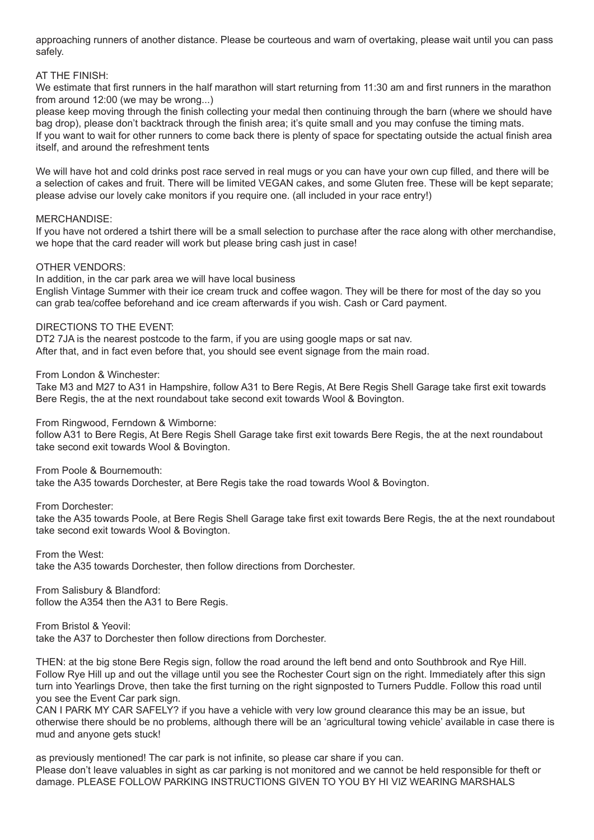approaching runners of another distance. Please be courteous and warn of overtaking, please wait until you can pass safely.

#### AT THE FINISH:

We estimate that first runners in the half marathon will start returning from 11:30 am and first runners in the marathon from around 12:00 (we may be wrong...)

please keep moving through the finish collecting your medal then continuing through the barn (where we should have bag drop), please don't backtrack through the finish area; it's quite small and you may confuse the timing mats. If you want to wait for other runners to come back there is plenty of space for spectating outside the actual finish area itself, and around the refreshment tents

We will have hot and cold drinks post race served in real mugs or you can have your own cup filled, and there will be a selection of cakes and fruit. There will be limited VEGAN cakes, and some Gluten free. These will be kept separate; please advise our lovely cake monitors if you require one. (all included in your race entry!)

#### MERCHANDISE:

If you have not ordered a tshirt there will be a small selection to purchase after the race along with other merchandise, we hope that the card reader will work but please bring cash just in case!

# OTHER VENDORS:

In addition, in the car park area we will have local business English Vintage Summer with their ice cream truck and coffee wagon. They will be there for most of the day so you can grab tea/coffee beforehand and ice cream afterwards if you wish. Cash or Card payment.

#### DIRECTIONS TO THE EVENT:

DT2 7JA is the nearest postcode to the farm, if you are using google maps or sat nav. After that, and in fact even before that, you should see event signage from the main road.

From London & Winchester:

Take M3 and M27 to A31 in Hampshire, follow A31 to Bere Regis, At Bere Regis Shell Garage take first exit towards Bere Regis, the at the next roundabout take second exit towards Wool & Bovington.

From Ringwood, Ferndown & Wimborne:

follow A31 to Bere Regis, At Bere Regis Shell Garage take first exit towards Bere Regis, the at the next roundabout take second exit towards Wool & Bovington.

From Poole & Bournemouth:

take the A35 towards Dorchester, at Bere Regis take the road towards Wool & Bovington.

From Dorchester:

take the A35 towards Poole, at Bere Regis Shell Garage take first exit towards Bere Regis, the at the next roundabout take second exit towards Wool & Bovington.

From the West: take the A35 towards Dorchester, then follow directions from Dorchester.

From Salisbury & Blandford: follow the A354 then the A31 to Bere Regis.

From Bristol & Yeovil: take the A37 to Dorchester then follow directions from Dorchester.

THEN: at the big stone Bere Regis sign, follow the road around the left bend and onto Southbrook and Rye Hill. Follow Rye Hill up and out the village until you see the Rochester Court sign on the right. Immediately after this sign turn into Yearlings Drove, then take the first turning on the right signposted to Turners Puddle. Follow this road until you see the Event Car park sign.

CAN I PARK MY CAR SAFELY? if you have a vehicle with very low ground clearance this may be an issue, but otherwise there should be no problems, although there will be an 'agricultural towing vehicle' available in case there is mud and anyone gets stuck!

as previously mentioned! The car park is not infinite, so please car share if you can. Please don't leave valuables in sight as car parking is not monitored and we cannot be held responsible for theft or damage. PLEASE FOLLOW PARKING INSTRUCTIONS GIVEN TO YOU BY HI VIZ WEARING MARSHALS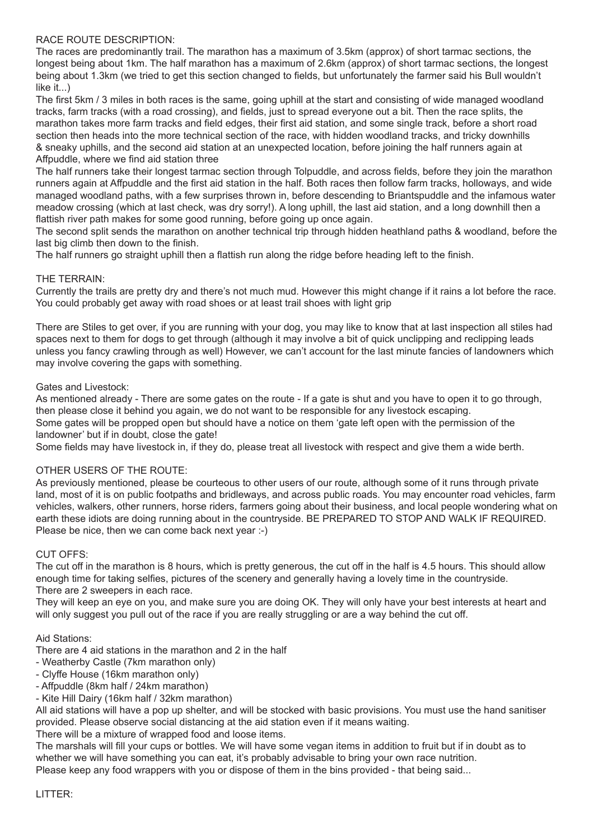# RACE ROUTE DESCRIPTION:

The races are predominantly trail. The marathon has a maximum of 3.5km (approx) of short tarmac sections, the longest being about 1km. The half marathon has a maximum of 2.6km (approx) of short tarmac sections, the longest being about 1.3km (we tried to get this section changed to fields, but unfortunately the farmer said his Bull wouldn't like it...)

The first 5km / 3 miles in both races is the same, going uphill at the start and consisting of wide managed woodland tracks, farm tracks (with a road crossing), and fields, just to spread everyone out a bit. Then the race splits, the marathon takes more farm tracks and field edges, their first aid station, and some single track, before a short road section then heads into the more technical section of the race, with hidden woodland tracks, and tricky downhills & sneaky uphills, and the second aid station at an unexpected location, before joining the half runners again at Affpuddle, where we find aid station three

The half runners take their longest tarmac section through Tolpuddle, and across fields, before they join the marathon runners again at Affpuddle and the first aid station in the half. Both races then follow farm tracks, holloways, and wide managed woodland paths, with a few surprises thrown in, before descending to Briantspuddle and the infamous water meadow crossing (which at last check, was dry sorry!). A long uphill, the last aid station, and a long downhill then a flattish river path makes for some good running, before going up once again.

The second split sends the marathon on another technical trip through hidden heathland paths & woodland, before the last big climb then down to the finish.

The half runners go straight uphill then a flattish run along the ridge before heading left to the finish.

# THE TERRAIN:

Currently the trails are pretty dry and there's not much mud. However this might change if it rains a lot before the race. You could probably get away with road shoes or at least trail shoes with light grip

There are Stiles to get over, if you are running with your dog, you may like to know that at last inspection all stiles had spaces next to them for dogs to get through (although it may involve a bit of quick unclipping and reclipping leads unless you fancy crawling through as well) However, we can't account for the last minute fancies of landowners which may involve covering the gaps with something.

# Gates and Livestock:

As mentioned already - There are some gates on the route - If a gate is shut and you have to open it to go through, then please close it behind you again, we do not want to be responsible for any livestock escaping. Some gates will be propped open but should have a notice on them 'gate left open with the permission of the landowner' but if in doubt, close the gate!

Some fields may have livestock in, if they do, please treat all livestock with respect and give them a wide berth.

# OTHER USERS OF THE ROUTE:

As previously mentioned, please be courteous to other users of our route, although some of it runs through private land, most of it is on public footpaths and bridleways, and across public roads. You may encounter road vehicles, farm vehicles, walkers, other runners, horse riders, farmers going about their business, and local people wondering what on earth these idiots are doing running about in the countryside. BE PREPARED TO STOP AND WALK IF REQUIRED. Please be nice, then we can come back next year :-)

# CUT OFFS:

The cut off in the marathon is 8 hours, which is pretty generous, the cut off in the half is 4.5 hours. This should allow enough time for taking selfies, pictures of the scenery and generally having a lovely time in the countryside. There are 2 sweepers in each race.

They will keep an eye on you, and make sure you are doing OK. They will only have your best interests at heart and will only suggest you pull out of the race if you are really struggling or are a way behind the cut off.

Aid Stations:

There are 4 aid stations in the marathon and 2 in the half

- Weatherby Castle (7km marathon only)
- Clyffe House (16km marathon only)
- Affpuddle (8km half / 24km marathon)
- Kite Hill Dairy (16km half / 32km marathon)

All aid stations will have a pop up shelter, and will be stocked with basic provisions. You must use the hand sanitiser provided. Please observe social distancing at the aid station even if it means waiting.

There will be a mixture of wrapped food and loose items.

The marshals will fill your cups or bottles. We will have some vegan items in addition to fruit but if in doubt as to whether we will have something you can eat, it's probably advisable to bring your own race nutrition. Please keep any food wrappers with you or dispose of them in the bins provided - that being said...